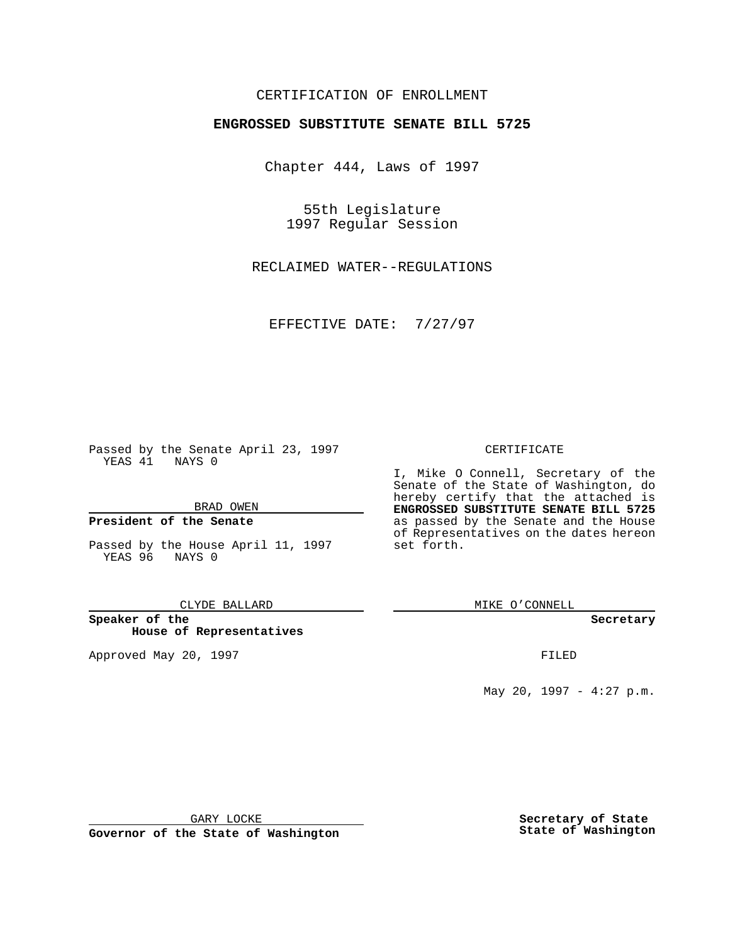## CERTIFICATION OF ENROLLMENT

# **ENGROSSED SUBSTITUTE SENATE BILL 5725**

Chapter 444, Laws of 1997

55th Legislature 1997 Regular Session

RECLAIMED WATER--REGULATIONS

EFFECTIVE DATE: 7/27/97

Passed by the Senate April 23, 1997 YEAS 41 NAYS 0

BRAD OWEN

### **President of the Senate**

Passed by the House April 11, 1997 YEAS 96 NAYS 0

CLYDE BALLARD

**Speaker of the House of Representatives**

Approved May 20, 1997 **FILED** 

#### CERTIFICATE

I, Mike O Connell, Secretary of the Senate of the State of Washington, do hereby certify that the attached is **ENGROSSED SUBSTITUTE SENATE BILL 5725** as passed by the Senate and the House of Representatives on the dates hereon set forth.

MIKE O'CONNELL

#### **Secretary**

May 20, 1997 - 4:27 p.m.

GARY LOCKE

**Governor of the State of Washington**

**Secretary of State State of Washington**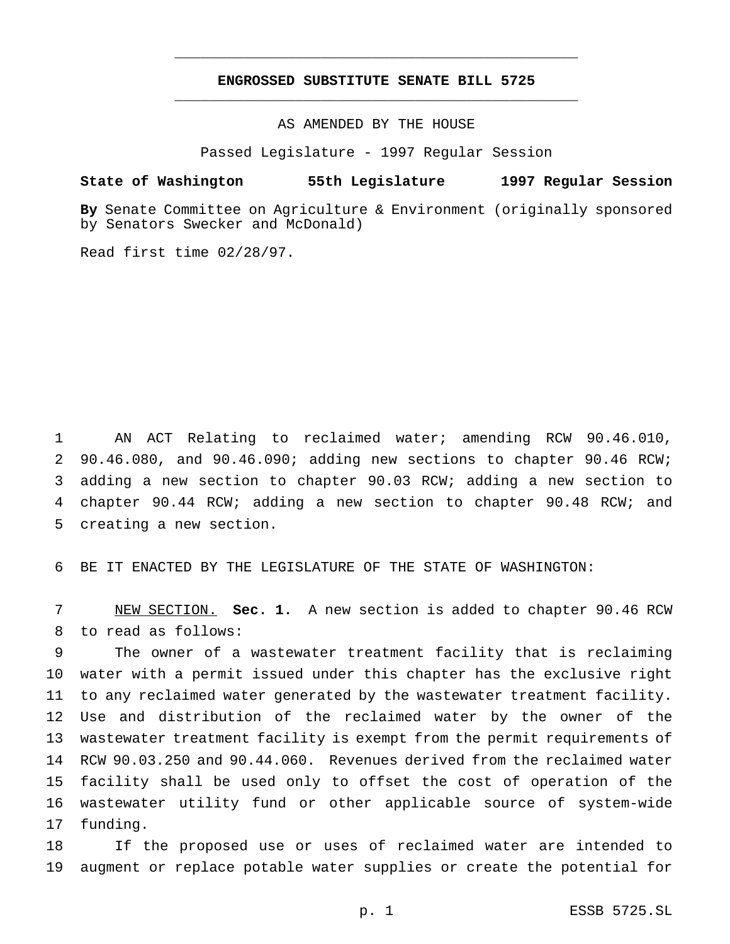# **ENGROSSED SUBSTITUTE SENATE BILL 5725** \_\_\_\_\_\_\_\_\_\_\_\_\_\_\_\_\_\_\_\_\_\_\_\_\_\_\_\_\_\_\_\_\_\_\_\_\_\_\_\_\_\_\_\_\_\_\_

\_\_\_\_\_\_\_\_\_\_\_\_\_\_\_\_\_\_\_\_\_\_\_\_\_\_\_\_\_\_\_\_\_\_\_\_\_\_\_\_\_\_\_\_\_\_\_

AS AMENDED BY THE HOUSE

Passed Legislature - 1997 Regular Session

#### **State of Washington 55th Legislature 1997 Regular Session**

**By** Senate Committee on Agriculture & Environment (originally sponsored by Senators Swecker and McDonald)

Read first time 02/28/97.

 AN ACT Relating to reclaimed water; amending RCW 90.46.010, 90.46.080, and 90.46.090; adding new sections to chapter 90.46 RCW; adding a new section to chapter 90.03 RCW; adding a new section to chapter 90.44 RCW; adding a new section to chapter 90.48 RCW; and creating a new section.

BE IT ENACTED BY THE LEGISLATURE OF THE STATE OF WASHINGTON:

 NEW SECTION. **Sec. 1.** A new section is added to chapter 90.46 RCW to read as follows:

 The owner of a wastewater treatment facility that is reclaiming water with a permit issued under this chapter has the exclusive right to any reclaimed water generated by the wastewater treatment facility. Use and distribution of the reclaimed water by the owner of the wastewater treatment facility is exempt from the permit requirements of RCW 90.03.250 and 90.44.060. Revenues derived from the reclaimed water facility shall be used only to offset the cost of operation of the wastewater utility fund or other applicable source of system-wide funding.

 If the proposed use or uses of reclaimed water are intended to augment or replace potable water supplies or create the potential for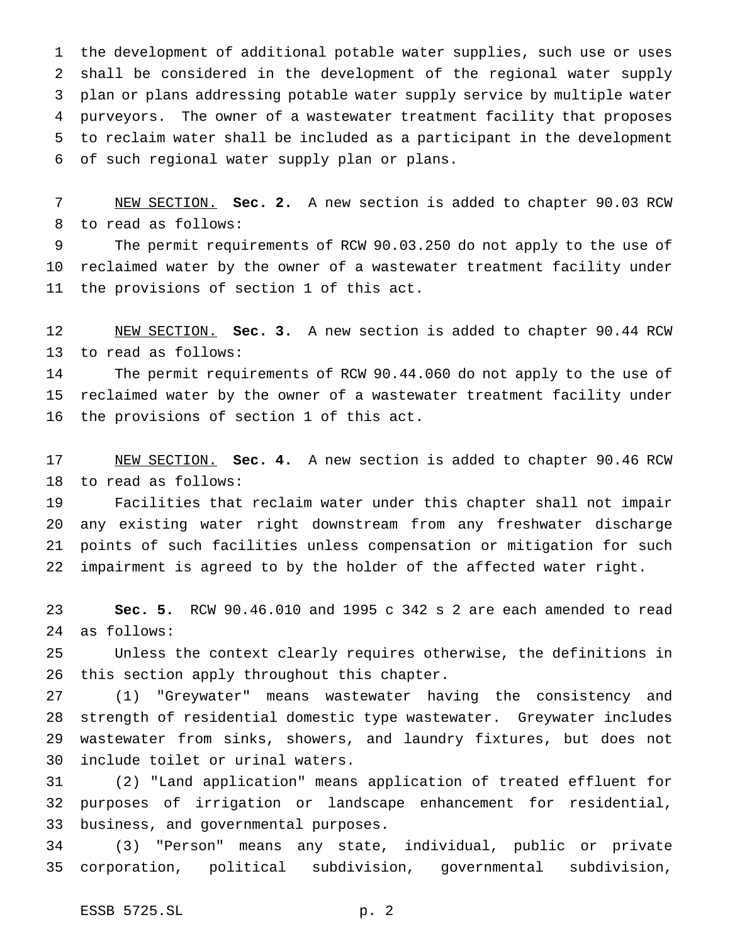the development of additional potable water supplies, such use or uses shall be considered in the development of the regional water supply plan or plans addressing potable water supply service by multiple water purveyors. The owner of a wastewater treatment facility that proposes to reclaim water shall be included as a participant in the development of such regional water supply plan or plans.

 NEW SECTION. **Sec. 2.** A new section is added to chapter 90.03 RCW to read as follows:

 The permit requirements of RCW 90.03.250 do not apply to the use of reclaimed water by the owner of a wastewater treatment facility under the provisions of section 1 of this act.

 NEW SECTION. **Sec. 3.** A new section is added to chapter 90.44 RCW to read as follows:

 The permit requirements of RCW 90.44.060 do not apply to the use of reclaimed water by the owner of a wastewater treatment facility under the provisions of section 1 of this act.

 NEW SECTION. **Sec. 4.** A new section is added to chapter 90.46 RCW to read as follows:

 Facilities that reclaim water under this chapter shall not impair any existing water right downstream from any freshwater discharge points of such facilities unless compensation or mitigation for such impairment is agreed to by the holder of the affected water right.

 **Sec. 5.** RCW 90.46.010 and 1995 c 342 s 2 are each amended to read as follows:

 Unless the context clearly requires otherwise, the definitions in this section apply throughout this chapter.

 (1) "Greywater" means wastewater having the consistency and strength of residential domestic type wastewater. Greywater includes wastewater from sinks, showers, and laundry fixtures, but does not include toilet or urinal waters.

 (2) "Land application" means application of treated effluent for purposes of irrigation or landscape enhancement for residential, business, and governmental purposes.

 (3) "Person" means any state, individual, public or private corporation, political subdivision, governmental subdivision,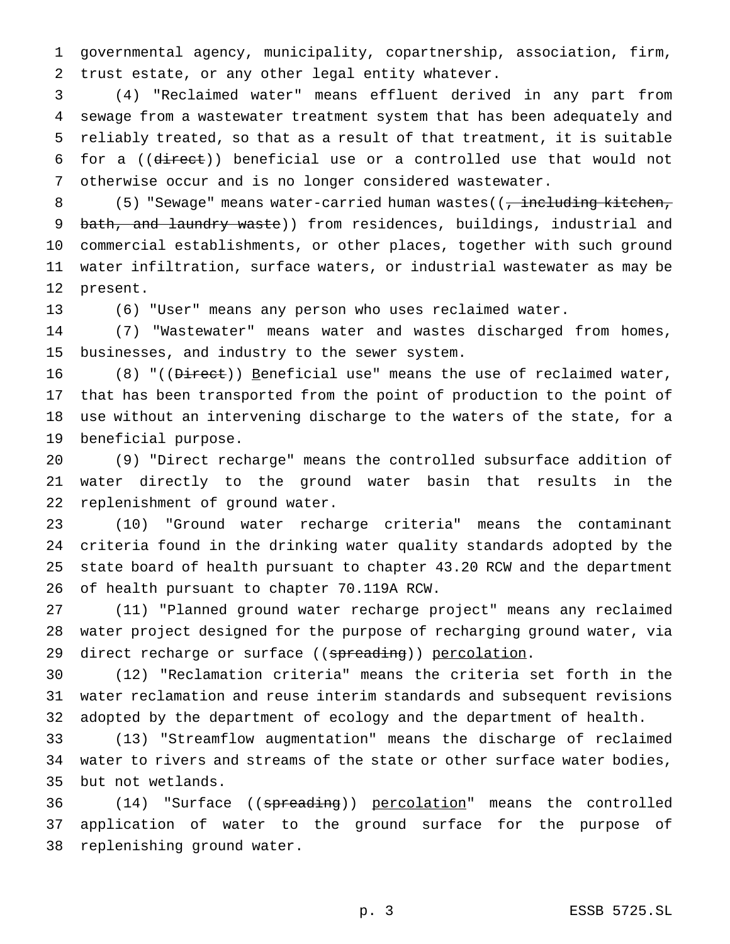governmental agency, municipality, copartnership, association, firm, trust estate, or any other legal entity whatever.

 (4) "Reclaimed water" means effluent derived in any part from sewage from a wastewater treatment system that has been adequately and reliably treated, so that as a result of that treatment, it is suitable for a ((direct)) beneficial use or a controlled use that would not otherwise occur and is no longer considered wastewater.

8 (5) "Sewage" means water-carried human wastes((, including kitchen, 9 bath, and laundry waste)) from residences, buildings, industrial and commercial establishments, or other places, together with such ground water infiltration, surface waters, or industrial wastewater as may be present.

(6) "User" means any person who uses reclaimed water.

 (7) "Wastewater" means water and wastes discharged from homes, businesses, and industry to the sewer system.

16 (8) "((Direct)) Beneficial use" means the use of reclaimed water, that has been transported from the point of production to the point of use without an intervening discharge to the waters of the state, for a beneficial purpose.

 (9) "Direct recharge" means the controlled subsurface addition of water directly to the ground water basin that results in the replenishment of ground water.

 (10) "Ground water recharge criteria" means the contaminant criteria found in the drinking water quality standards adopted by the state board of health pursuant to chapter 43.20 RCW and the department of health pursuant to chapter 70.119A RCW.

 (11) "Planned ground water recharge project" means any reclaimed water project designed for the purpose of recharging ground water, via 29 direct recharge or surface ((spreading)) percolation.

 (12) "Reclamation criteria" means the criteria set forth in the water reclamation and reuse interim standards and subsequent revisions adopted by the department of ecology and the department of health.

 (13) "Streamflow augmentation" means the discharge of reclaimed water to rivers and streams of the state or other surface water bodies, but not wetlands.

36 (14) "Surface ((spreading)) percolation" means the controlled application of water to the ground surface for the purpose of replenishing ground water.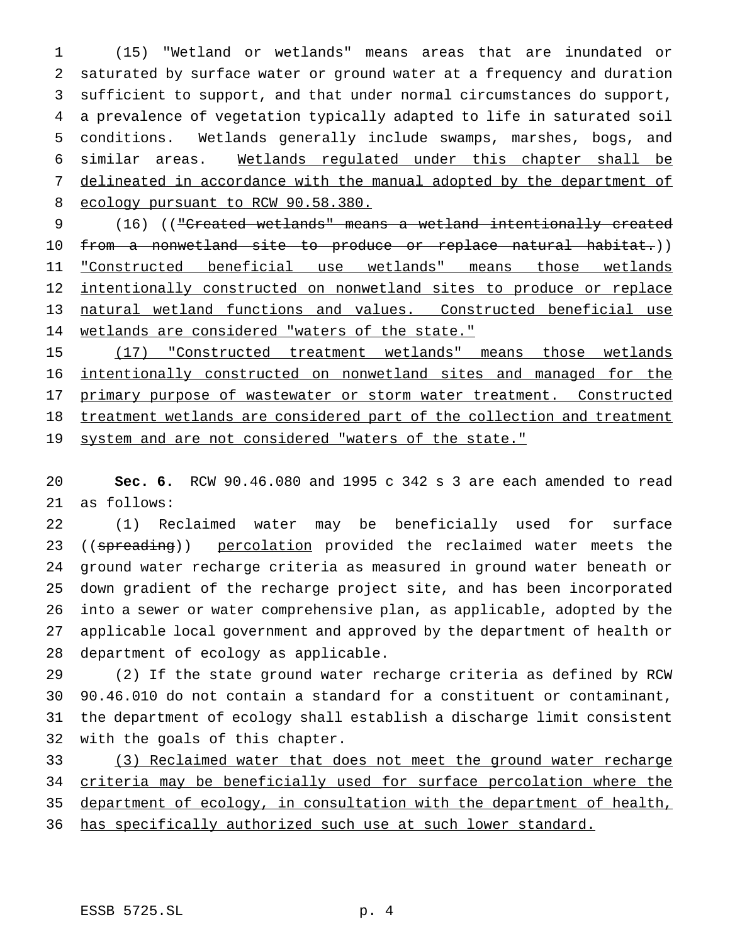(15) "Wetland or wetlands" means areas that are inundated or saturated by surface water or ground water at a frequency and duration sufficient to support, and that under normal circumstances do support, a prevalence of vegetation typically adapted to life in saturated soil conditions. Wetlands generally include swamps, marshes, bogs, and similar areas. Wetlands regulated under this chapter shall be delineated in accordance with the manual adopted by the department of 8 ecology pursuant to RCW 90.58.380.

 (16) (("Created wetlands" means a wetland intentionally created 10 from a nonwetland site to produce or replace natural habitat.)) "Constructed beneficial use wetlands" means those wetlands 12 intentionally constructed on nonwetland sites to produce or replace natural wetland functions and values. Constructed beneficial use 14 wetlands are considered "waters of the state."

 (17) "Constructed treatment wetlands" means those wetlands intentionally constructed on nonwetland sites and managed for the 17 primary purpose of wastewater or storm water treatment. Constructed 18 treatment wetlands are considered part of the collection and treatment 19 system and are not considered "waters of the state."

 **Sec. 6.** RCW 90.46.080 and 1995 c 342 s 3 are each amended to read as follows:

 (1) Reclaimed water may be beneficially used for surface 23 ((spreading)) percolation provided the reclaimed water meets the ground water recharge criteria as measured in ground water beneath or down gradient of the recharge project site, and has been incorporated into a sewer or water comprehensive plan, as applicable, adopted by the applicable local government and approved by the department of health or department of ecology as applicable.

 (2) If the state ground water recharge criteria as defined by RCW 90.46.010 do not contain a standard for a constituent or contaminant, the department of ecology shall establish a discharge limit consistent with the goals of this chapter.

33 (3) Reclaimed water that does not meet the ground water recharge criteria may be beneficially used for surface percolation where the 35 department of ecology, in consultation with the department of health, 36 has specifically authorized such use at such lower standard.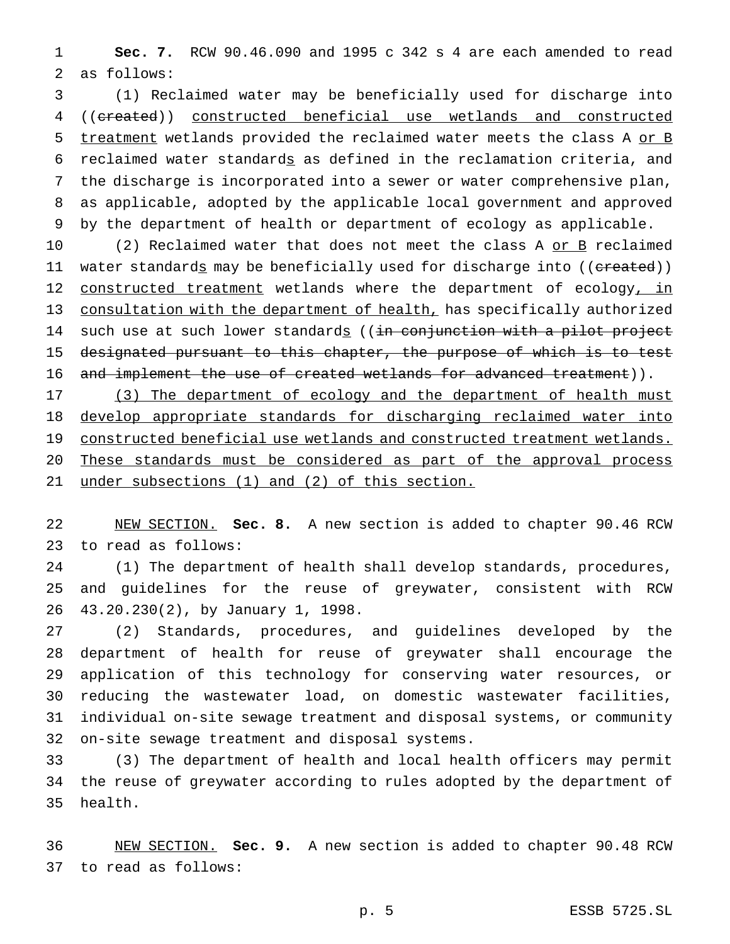**Sec. 7.** RCW 90.46.090 and 1995 c 342 s 4 are each amended to read as follows:

 (1) Reclaimed water may be beneficially used for discharge into ((created)) constructed beneficial use wetlands and constructed 5 treatment wetlands provided the reclaimed water meets the class A or B reclaimed water standards as defined in the reclamation criteria, and the discharge is incorporated into a sewer or water comprehensive plan, as applicable, adopted by the applicable local government and approved by the department of health or department of ecology as applicable.

10 (2) Reclaimed water that does not meet the class A or B reclaimed 11 water standard<u>s</u> may be beneficially used for discharge into ((created)) 12 constructed treatment wetlands where the department of ecology, in consultation with the department of health, has specifically authorized 14 such use at such lower standards ((in conjunction with a pilot project designated pursuant to this chapter, the purpose of which is to test 16 and implement the use of created wetlands for advanced treatment)).

17 (3) The department of ecology and the department of health must develop appropriate standards for discharging reclaimed water into constructed beneficial use wetlands and constructed treatment wetlands. These standards must be considered as part of the approval process under subsections (1) and (2) of this section.

 NEW SECTION. **Sec. 8.** A new section is added to chapter 90.46 RCW to read as follows:

 (1) The department of health shall develop standards, procedures, and guidelines for the reuse of greywater, consistent with RCW 43.20.230(2), by January 1, 1998.

 (2) Standards, procedures, and guidelines developed by the department of health for reuse of greywater shall encourage the application of this technology for conserving water resources, or reducing the wastewater load, on domestic wastewater facilities, individual on-site sewage treatment and disposal systems, or community on-site sewage treatment and disposal systems.

 (3) The department of health and local health officers may permit the reuse of greywater according to rules adopted by the department of health.

 NEW SECTION. **Sec. 9.** A new section is added to chapter 90.48 RCW to read as follows: